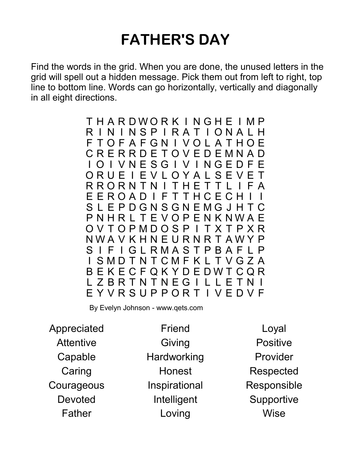## FATHER'S DAY

Find the words in the grid. When you are done, the unused letters in the grid will spell out a hidden message. Pick them out from left to right, top line to bottom line. Words can go horizontally, vertically and diagonally in all eight directions.

> T H A R D W O R K I N G H E I M P R I N I N S P I R A T I O N A L H F T O F A F G N I V O L A T H O E C R E R R D E T O V E D E M N A D I O I V N E S G I V I N G E D F E O R U E I E V L O Y A L S E V E T R R O R N T N I T H E T T L I F A E E R O A D I F T T H C E C H I S L E P D G N S G N E M G J H T C P N H R L T E V O P E N K N W A E O V T O P M D O S P I T X T P X R N W A V K H N E U R N R T A W Y P S I F I G L R M A S T P B A F L P I S M D T N T C M F K L T V G Z A B E K E C F Q K Y D E D W T C Q R L Z B R T N T N E G I L L E T N I E Y V R S U P P O R T I V E D V F

By Evelyn Johnson - www.qets.com

Appreciated **Attentive** Capable **Caring Courageous** Devoted Father

Friend Giving **Hardworking** Honest Inspirational Intelligent Loving

Loyal Positive Provider Respected Responsible **Supportive Wise**